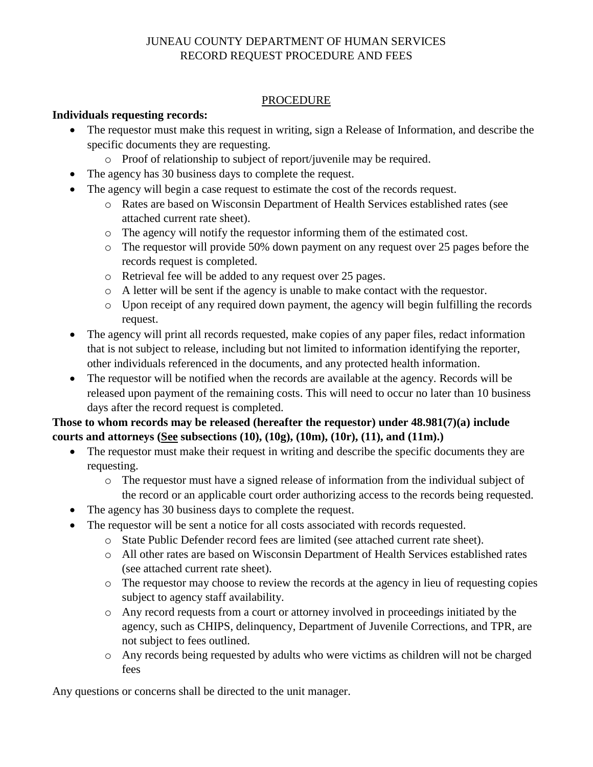## JUNEAU COUNTY DEPARTMENT OF HUMAN SERVICES RECORD REQUEST PROCEDURE AND FEES

## **PROCEDURE**

## **Individuals requesting records:**

- The requestor must make this request in writing, sign a Release of Information, and describe the specific documents they are requesting.
	- o Proof of relationship to subject of report/juvenile may be required.
- The agency has 30 business days to complete the request.
- The agency will begin a case request to estimate the cost of the records request.
	- o Rates are based on Wisconsin Department of Health Services established rates (see attached current rate sheet).
	- o The agency will notify the requestor informing them of the estimated cost.
	- o The requestor will provide 50% down payment on any request over 25 pages before the records request is completed.
	- o Retrieval fee will be added to any request over 25 pages.
	- o A letter will be sent if the agency is unable to make contact with the requestor.
	- o Upon receipt of any required down payment, the agency will begin fulfilling the records request.
- The agency will print all records requested, make copies of any paper files, redact information that is not subject to release, including but not limited to information identifying the reporter, other individuals referenced in the documents, and any protected health information.
- The requestor will be notified when the records are available at the agency. Records will be released upon payment of the remaining costs. This will need to occur no later than 10 business days after the record request is completed.

# **Those to whom records may be released (hereafter the requestor) under 48.981(7)(a) include courts and attorneys (See subsections (10), (10g), (10m), (10r), (11), and (11m).)**

- The requestor must make their request in writing and describe the specific documents they are requesting.
	- o The requestor must have a signed release of information from the individual subject of the record or an applicable court order authorizing access to the records being requested.
- The agency has 30 business days to complete the request.
- The requestor will be sent a notice for all costs associated with records requested.
	- o State Public Defender record fees are limited (see attached current rate sheet).
	- o All other rates are based on Wisconsin Department of Health Services established rates (see attached current rate sheet).
	- $\circ$  The requestor may choose to review the records at the agency in lieu of requesting copies subject to agency staff availability.
	- o Any record requests from a court or attorney involved in proceedings initiated by the agency, such as CHIPS, delinquency, Department of Juvenile Corrections, and TPR, are not subject to fees outlined.
	- o Any records being requested by adults who were victims as children will not be charged fees

Any questions or concerns shall be directed to the unit manager.